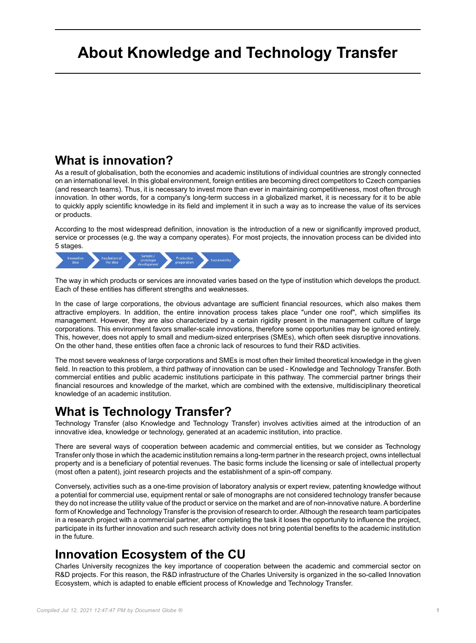## **About Knowledge and Technology Transfer**

## **What is innovation?**

As a result of globalisation, both the economies and academic institutions of individual countries are strongly connected on an international level. In this global environment, foreign entities are becoming direct competitors to Czech companies (and research teams). Thus, it is necessary to invest more than ever in maintaining competitiveness, most often through innovation. In other words, for a company's long-term success in a globalized market, it is necessary for it to be able to quickly apply scientific knowledge in its field and implement it in such a way as to increase the value of its services or products.

According to the most widespread definition, innovation is the introduction of a new or significantly improved product, service or processes (e.g. the way a company operates). For most projects, the innovation process can be divided into 5 stages.



The way in which products or services are innovated varies based on the type of institution which develops the product. Each of these entities has different strengths and weaknesses.

In the case of large corporations, the obvious advantage are sufficient financial resources, which also makes them attractive employers. In addition, the entire innovation process takes place "under one roof", which simplifies its management. However, they are also characterized by a certain rigidity present in the management culture of large corporations. This environment favors smaller-scale innovations, therefore some opportunities may be ignored entirely. This, however, does not apply to small and medium-sized enterprises (SMEs), which often seek disruptive innovations. On the other hand, these entities often face a chronic lack of resources to fund their R&D activities.

The most severe weakness of large corporations and SMEs is most often their limited theoretical knowledge in the given field. In reaction to this problem, a third pathway of innovation can be used - Knowledge and Technology Transfer. Both commercial entities and public academic institutions participate in this pathway. The commercial partner brings their financial resources and knowledge of the market, which are combined with the extensive, multidisciplinary theoretical knowledge of an academic institution.

## **What is Technology Transfer?**

Technology Transfer (also Knowledge and Technology Transfer) involves activities aimed at the introduction of an innovative idea, knowledge or technology, generated at an academic institution, into practice.

There are several ways of cooperation between academic and commercial entities, but we consider as Technology Transfer only those in which the academic institution remains a long-term partner in the research project, owns intellectual property and is a beneficiary of potential revenues. The basic forms include the licensing or sale of intellectual property (most often a patent), joint research projects and the establishment of a spin-off company.

Conversely, activities such as a one-time provision of laboratory analysis or expert review, patenting knowledge without a potential for commercial use, equipment rental or sale of monographs are not considered technology transfer because they do not increase the utility value of the product or service on the market and are of non-innovative nature. A borderline form of Knowledge and Technology Transfer is the provision of research to order. Although the research team participates in a research project with a commercial partner, after completing the task it loses the opportunity to influence the project, participate in its further innovation and such research activity does not bring potential benefits to the academic institution in the future.

## **Innovation Ecosystem of the CU**

Charles University recognizes the key importance of cooperation between the academic and commercial sector on R&D projects. For this reason, the R&D infrastructure of the Charles University is organized in the so-called Innovation Ecosystem, which is adapted to enable efficient process of Knowledge and Technology Transfer.